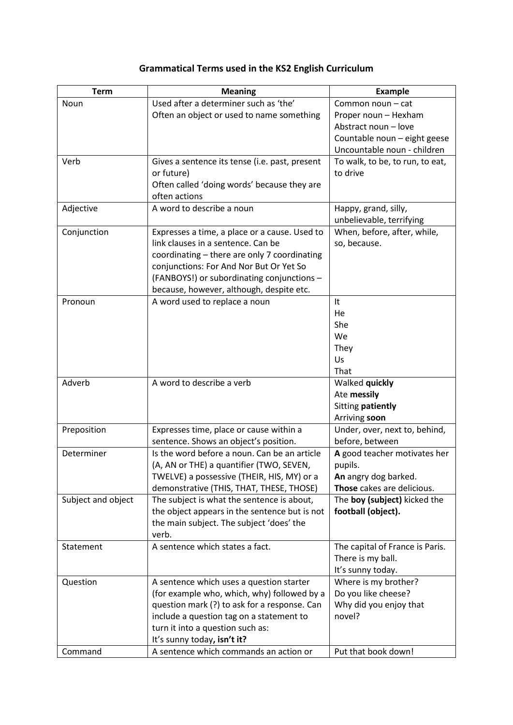## **Grammatical Terms used in the KS2 English Curriculum**

| <b>Term</b>        | <b>Meaning</b>                                                                   | <b>Example</b>                                 |
|--------------------|----------------------------------------------------------------------------------|------------------------------------------------|
| Noun               | Used after a determiner such as 'the'                                            | Common noun - cat                              |
|                    | Often an object or used to name something                                        | Proper noun - Hexham                           |
|                    |                                                                                  | Abstract noun - love                           |
|                    |                                                                                  | Countable noun - eight geese                   |
|                    |                                                                                  | Uncountable noun - children                    |
| Verb               | Gives a sentence its tense (i.e. past, present                                   | To walk, to be, to run, to eat,                |
|                    | or future)                                                                       | to drive                                       |
|                    | Often called 'doing words' because they are                                      |                                                |
|                    | often actions                                                                    |                                                |
| Adjective          | A word to describe a noun                                                        | Happy, grand, silly,                           |
|                    |                                                                                  | unbelievable, terrifying                       |
| Conjunction        | Expresses a time, a place or a cause. Used to                                    | When, before, after, while,                    |
|                    | link clauses in a sentence. Can be                                               | so, because.                                   |
|                    | coordinating - there are only 7 coordinating                                     |                                                |
|                    | conjunctions: For And Nor But Or Yet So                                          |                                                |
|                    | (FANBOYS!) or subordinating conjunctions -                                       |                                                |
|                    | because, however, although, despite etc.                                         |                                                |
| Pronoun            | A word used to replace a noun                                                    | It                                             |
|                    |                                                                                  | He                                             |
|                    |                                                                                  | She                                            |
|                    |                                                                                  | We                                             |
|                    |                                                                                  | They                                           |
|                    |                                                                                  | Us                                             |
|                    |                                                                                  | That                                           |
| Adverb             | A word to describe a verb                                                        | Walked quickly                                 |
|                    |                                                                                  | Ate messily                                    |
|                    |                                                                                  | Sitting patiently                              |
| Preposition        |                                                                                  | Arriving soon<br>Under, over, next to, behind, |
|                    | Expresses time, place or cause within a<br>sentence. Shows an object's position. | before, between                                |
| Determiner         | Is the word before a noun. Can be an article                                     | A good teacher motivates her                   |
|                    | (A, AN or THE) a quantifier (TWO, SEVEN,                                         | pupils.                                        |
|                    | TWELVE) a possessive (THEIR, HIS, MY) or a                                       | An angry dog barked.                           |
|                    | demonstrative (THIS, THAT, THESE, THOSE)                                         | Those cakes are delicious.                     |
| Subject and object | The subject is what the sentence is about,                                       | The boy (subject) kicked the                   |
|                    | the object appears in the sentence but is not                                    | football (object).                             |
|                    | the main subject. The subject 'does' the                                         |                                                |
|                    | verb.                                                                            |                                                |
| Statement          | A sentence which states a fact.                                                  | The capital of France is Paris.                |
|                    |                                                                                  | There is my ball.                              |
|                    |                                                                                  | It's sunny today.                              |
| Question           | A sentence which uses a question starter                                         | Where is my brother?                           |
|                    | (for example who, which, why) followed by a                                      | Do you like cheese?                            |
|                    | question mark (?) to ask for a response. Can                                     | Why did you enjoy that                         |
|                    | include a question tag on a statement to                                         | novel?                                         |
|                    | turn it into a question such as:                                                 |                                                |
|                    | It's sunny today, isn't it?                                                      |                                                |
| Command            | A sentence which commands an action or                                           | Put that book down!                            |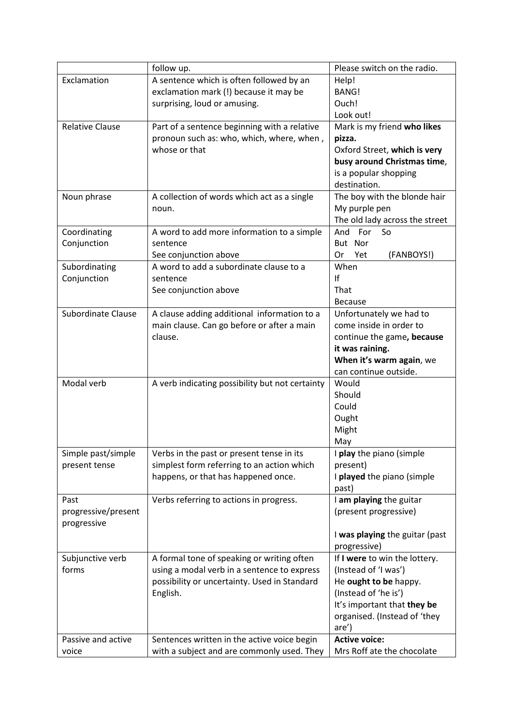|                           | follow up.                                      | Please switch on the radio.    |
|---------------------------|-------------------------------------------------|--------------------------------|
| Exclamation               | A sentence which is often followed by an        | Help!                          |
|                           | exclamation mark (!) because it may be          | <b>BANG!</b>                   |
|                           | surprising, loud or amusing.                    | Ouch!                          |
|                           |                                                 | Look out!                      |
| <b>Relative Clause</b>    | Part of a sentence beginning with a relative    | Mark is my friend who likes    |
|                           | pronoun such as: who, which, where, when,       | pizza.                         |
|                           | whose or that                                   | Oxford Street, which is very   |
|                           |                                                 | busy around Christmas time,    |
|                           |                                                 | is a popular shopping          |
|                           |                                                 | destination.                   |
| Noun phrase               | A collection of words which act as a single     | The boy with the blonde hair   |
|                           | noun.                                           | My purple pen                  |
|                           |                                                 | The old lady across the street |
| Coordinating              | A word to add more information to a simple      | And For<br>So                  |
| Conjunction               | sentence                                        | But Nor                        |
|                           | See conjunction above                           | (FANBOYS!)<br>0r<br>Yet        |
| Subordinating             | A word to add a subordinate clause to a         | When                           |
| Conjunction               | sentence                                        | If                             |
|                           | See conjunction above                           | That                           |
|                           |                                                 | <b>Because</b>                 |
| <b>Subordinate Clause</b> |                                                 |                                |
|                           | A clause adding additional information to a     | Unfortunately we had to        |
|                           | main clause. Can go before or after a main      | come inside in order to        |
|                           | clause.                                         | continue the game, because     |
|                           |                                                 | it was raining.                |
|                           |                                                 | When it's warm again, we       |
|                           |                                                 | can continue outside.          |
| Modal verb                | A verb indicating possibility but not certainty | Would                          |
|                           |                                                 | Should                         |
|                           |                                                 | Could                          |
|                           |                                                 | Ought                          |
|                           |                                                 | Might                          |
|                           |                                                 | May                            |
| Simple past/simple        | Verbs in the past or present tense in its       | I play the piano (simple       |
| present tense             | simplest form referring to an action which      | present)                       |
|                           | happens, or that has happened once.             | I played the piano (simple     |
|                           |                                                 | past)                          |
| Past                      | Verbs referring to actions in progress.         | I am playing the guitar        |
| progressive/present       |                                                 | (present progressive)          |
| progressive               |                                                 |                                |
|                           |                                                 | I was playing the guitar (past |
|                           |                                                 | progressive)                   |
| Subjunctive verb          | A formal tone of speaking or writing often      | If I were to win the lottery.  |
| forms                     | using a modal verb in a sentence to express     | (Instead of 'I was')           |
|                           | possibility or uncertainty. Used in Standard    | He ought to be happy.          |
|                           | English.                                        | (Instead of 'he is')           |
|                           |                                                 | It's important that they be    |
|                           |                                                 | organised. (Instead of 'they   |
|                           |                                                 | are')                          |
| Passive and active        | Sentences written in the active voice begin     | <b>Active voice:</b>           |
| voice                     | with a subject and are commonly used. They      | Mrs Roff ate the chocolate     |